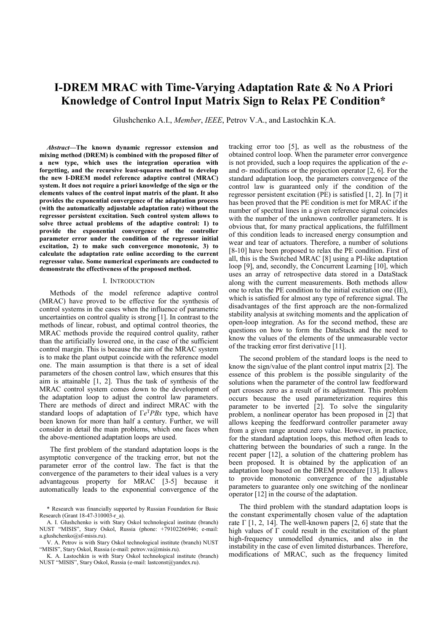# I-DREM MRAC with Time-Varying Adaptation Rate & No A Priori Knowledge of Control Input Matrix Sign to Relax PE Condition\*

Glushchenko A.I., Member, IEEE, Petrov V.A., and Lastochkin K.A.

Abstract—The known dynamic regressor extension and mixing method (DREM) is combined with the proposed filter of a new type, which uses the integration operation with forgetting, and the recursive least-squares method to develop the new I-DREM model reference adaptive control (MRAC) system. It does not require a priori knowledge of the sign or the elements values of the control input matrix of the plant. It also provides the exponential convergence of the adaptation process (with the automatically adjustable adaptation rate) without the regressor persistent excitation. Such control system allows to solve three actual problems of the adaptive control: 1) to provide the exponential convergence of the controller parameter error under the condition of the regressor initial excitation, 2) to make such convergence monotonic, 3) to calculate the adaptation rate online according to the current regressor value. Some numerical experiments are conducted to demonstrate the effectiveness of the proposed method.

#### I. INTRODUCTION

Methods of the model reference adaptive control (MRAC) have proved to be effective for the synthesis of control systems in the cases when the influence of parametric uncertainties on control quality is strong [1]. In contrast to the methods of linear, robust, and optimal control theories, the MRAC methods provide the required control quality, rather than the artificially lowered one, in the case of the sufficient control margin. This is because the aim of the MRAC system is to make the plant output coincide with the reference model one. The main assumption is that there is a set of ideal parameters of the chosen control law, which ensures that this aim is attainable [1, 2]. Thus the task of synthesis of the MRAC control system comes down to the development of the adaptation loop to adjust the control law parameters. There are methods of direct and indirect MRAC with the standard loops of adaptation of  $\Gamma e^{T} P B x$  type, which have been known for more than half a century. Further, we will consider in detail the main problems, which one faces when the above-mentioned adaptation loops are used.

The first problem of the standard adaptation loops is the asymptotic convergence of the tracking error, but not the parameter error of the control law. The fact is that the convergence of the parameters to their ideal values is a very advantageous property for MRAC [3-5] because it automatically leads to the exponential convergence of the

tracking error too [5], as well as the robustness of the obtained control loop. When the parameter error convergence is not provided, such a loop requires the application of the eand σ- modifications or the projection operator [2, 6]. For the standard adaptation loop, the parameters convergence of the control law is guaranteed only if the condition of the regressor persistent excitation (PE) is satisfied [1, 2]. In [7] it has been proved that the PE condition is met for MRAC if the number of spectral lines in a given reference signal coincides with the number of the unknown controller parameters. It is obvious that, for many practical applications, the fulfillment of this condition leads to increased energy consumption and wear and tear of actuators. Therefore, a number of solutions [8-10] have been proposed to relax the PE condition. First of all, this is the Switched MRAC [8] using a PI-like adaptation loop [9], and, secondly, the Concurrent Learning [10], which uses an array of retrospective data stored in a DataStack along with the current measurements. Both methods allow one to relax the PE condition to the initial excitation one (IE), which is satisfied for almost any type of reference signal. The disadvantages of the first approach are the non-formalized stability analysis at switching moments and the application of open-loop integration. As for the second method, these are questions on how to form the DataStack and the need to know the values of the elements of the unmeasurable vector of the tracking error first derivative [11].

The second problem of the standard loops is the need to know the sign/value of the plant control input matrix [2]. The essence of this problem is the possible singularity of the solutions when the parameter of the control law feedforward part crosses zero as a result of its adjustment. This problem occurs because the used parameterization requires this parameter to be inverted  $\int$ 2. To solve the singularity problem, a nonlinear operator has been proposed in [2] that allows keeping the feedforward controller parameter away from a given range around zero value. However, in practice, for the standard adaptation loops, this method often leads to chattering between the boundaries of such a range. In the recent paper [12], a solution of the chattering problem has been proposed. It is obtained by the application of an adaptation loop based on the DREM procedure [13]. It allows to provide monotonic convergence of the adjustable parameters to guarantee only one switching of the nonlinear operator [12] in the course of the adaptation.

The third problem with the standard adaptation loops is the constant experimentally chosen value of the adaptation rate  $\Gamma$  [1, 2, 14]. The well-known papers [2, 6] state that the high values of Γ could result in the excitation of the plant high-frequency unmodelled dynamics, and also in the instability in the case of even limited disturbances. Therefore, modifications of MRAC, such as the frequency limited

<sup>\*</sup> Research was financially supported by Russian Foundation for Basic Research (Grant 18-47-310003-r\_a).

A. I. Glushchenko is with Stary Oskol technological institute (branch) NUST "MISIS", Stary Oskol, Russia (phone: +79102266946; e-mail: a.glushchenko@sf-misis.ru).

V. A. Petrov is with Stary Oskol technological institute (branch) NUST "MISIS", Stary Oskol, Russia (e-mail: petrov.va@misis.ru).

K. A. Lastochkin is with Stary Oskol technological institute (branch) NUST "MISIS", Stary Oskol, Russia (e-mail: lastconst@yandex.ru).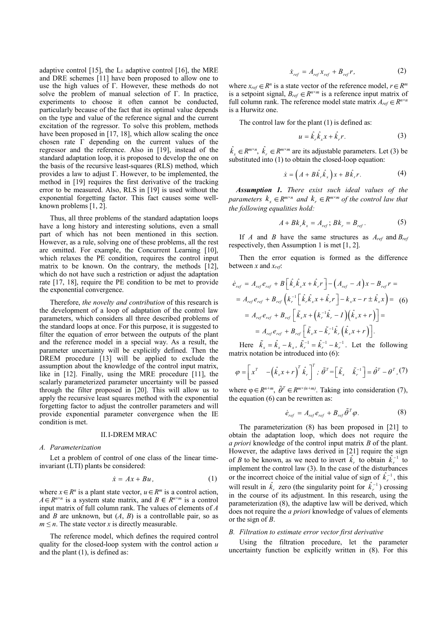adaptive control [15], the  $L_1$  adaptive control [16], the MRE and DRE schemes [11] have been proposed to allow one to use the high values of Γ. However, these methods do not solve the problem of manual selection of Γ. In practice, experiments to choose it often cannot be conducted, particularly because of the fact that its optimal value depends on the type and value of the reference signal and the current excitation of the regressor. To solve this problem, methods have been proposed in [17, 18], which allow scaling the once chosen rate  $\Gamma$  depending on the current values of the regressor and the reference. Also in [19], instead of the standard adaptation loop, it is proposed to develop the one on the basis of the recursive least-squares (RLS) method, which provides a law to adjust Γ. However, to be implemented, the method in [19] requires the first derivative of the tracking error to be measured. Also, RLS in [19] is used without the exponential forgetting factor. This fact causes some wellknown problems [1, 2].

Thus, all three problems of the standard adaptation loops have a long history and interesting solutions, even a small part of which has not been mentioned in this section. However, as a rule, solving one of these problems, all the rest are omitted. For example, the Concurrent Learning [10], which relaxes the PE condition, requires the control input matrix to be known. On the contrary, the methods  $[12]$ , which do not have such a restriction or adjust the adaptation rate [17, 18], require the PE condition to be met to provide the exponential convergence.

Therefore, the novelty and contribution of this research is the development of a loop of adaptation of the control law parameters, which considers all three described problems of the standard loops at once. For this purpose, it is suggested to filter the equation of error between the outputs of the plant and the reference model in a special way. As a result, the parameter uncertainty will be explicitly defined. Then the DREM procedure [13] will be applied to exclude the assumption about the knowledge of the control input matrix, like in [12]. Finally, using the MRE procedure [11], the scalarly parameterized parameter uncertainty will be passed through the filter proposed in [20]. This will allow us to apply the recursive least squares method with the exponential forgetting factor to adjust the controller parameters and will provide exponential parameter convergence when the IE condition is met.

#### II.I-DREM MRAC

### A. Parameterization

Let a problem of control of one class of the linear timeinvariant (LTI) plants be considered:

$$
\dot{x} = Ax + Bu,\tag{1}
$$

where  $x \in R^n$  is a plant state vector,  $u \in R^m$  is a control action,  $A \in R^{n \times n}$  is a system state matrix, and  $B \in R^{n \times m}$  is a control input matrix of full column rank. The values of elements of A and B are unknown, but  $(A, B)$  is a controllable pair, so as  $m \leq n$ . The state vector x is directly measurable.

The reference model, which defines the required control quality for the closed-loop system with the control action  $u$ and the plant (1), is defined as:

$$
\dot{x}_{ref} = A_{ref} x_{ref} + B_{ref} r, \qquad (2)
$$

where  $x_{ref} \in R^n$  is a state vector of the reference model,  $r \in R^m$ is a setpoint signal,  $B_{ref} \in R^{n \times m}$  is a reference input matrix of full column rank. The reference model state matrix  $A_{ref} \in R^{n \times n}$ is a Hurwitz one.

The control law for the plant (1) is defined as:

$$
u = \hat{k}_r \hat{k}_x x + \hat{k}_r r. \tag{3}
$$

 $\hat{k}_x \in R^{m \times n}$ ,  $\hat{k}_r \in R^{m \times m}$  are its adjustable parameters. Let (3) be substituted into (1) to obtain the closed-loop equation:

$$
\dot{x} = \left(A + B\hat{k}_{r}\hat{k}_{x}\right)x + B\hat{k}_{r}r.\tag{4}
$$

Assumption 1. There exist such ideal values of the parameters  $k_x \in R^{m \times n}$  and  $k_y \in R^{m \times m}$  of the control law that the following equalities hold:

$$
A + Bk_r k_x = A_{ref}; Bk_r = B_{ref}.
$$
 (5)

If A and B have the same structures as  $A_{ref}$  and  $B_{ref}$ respectively, then Assumption 1 is met [1, 2].

Then the error equation is formed as the difference between  $x$  and  $x_{ref}$ .

will column rank. The reference model state matrix 
$$
A_{ref} \in R^{n-m}
$$

\nis a Hurwitz one.

\nThe control law for the plant (1) is defined as:

\n
$$
u = \hat{k}_r \hat{k}_x x + \hat{k}_r r.
$$
\n(3)

\n $\hat{k}_x \in R^{m \times n}, \hat{k}_r \in R^{m \times m}$  are its adjustable parameters. Let (3) be substituted into (1) to obtain the closed-loop equation:

\n
$$
\dot{x} = (A + B\hat{k}_r \hat{k}_x) x + B\hat{k}_r r.
$$
\n**Assumption 1.** There exist such ideal values of the parameters  $k_x \in R^{m \times n}$  and  $k_r \in R^{m \times m}$  of the control law that the following equalities hold:

\n
$$
A + Bk_r k_x = A_{ref}; Bk_r = B_{ref}.
$$
\n(5)

\nIf A and B have the same structures as  $A_{ref}$  and  $B_{ref}$ 

\nrespectively, then Assumption 1 is met [1, 2].

\nThen the error equation is formed as the difference between x and  $x_{ref}$ .

\n $\dot{e}_{ref} = A_{ref} e_{ref} + B \left[ \hat{k}_r \hat{k}_x x + \hat{k}_r r \right] - (A_{ref} - A) x - B_{ref} r =$ \n
$$
= A_{ref} e_{ref} + B_{ref} \left[ \hat{k}_r \hat{k}_x x + \hat{k}_r r \right] - k_x x - r \pm \hat{k}_x x =
$$
\n(6)

\n
$$
= A_{ref} e_{ref} + B_{ref} \left[ \hat{k}_r x + (\hat{k}_r^{-1} \hat{k}_r - I)(\hat{k}_x x + r) \right].
$$
\nHere  $\hat{k}_x = \hat{k}_x - k_x, \hat{k}_r^{-1} = \hat{k}_r^{-1} - k_r^{-1}$ . Let the following matrix notation be introduced into (6):

\n
$$
\varphi = \left[ x^T - (\hat{k}_x x + r)^T \hat{k}_r \right]^T; \; \hat{\theta}^T = \left[ \hat{k}_x \quad \hat{k}_r^{-1} \right] = \hat{\theta}^T - \theta^T
$$
\n(7)

\nwhere  $\varphi \in R^{n+m}$ ,  $\tilde{\theta}^T \in R^{m \times (n+m)}$ . Taking into consideration (7

Here  $\tilde{k}_x = \hat{k}_x - k_x$ ,  $\tilde{k}_r^{-1} = \hat{k}_r^{-1} - k_r^{-1}$ . Let the following matrix notation be introduced into (6):

$$
\varphi = \left[ x^T \quad -\left( \hat{k}_x x + r \right)^T \hat{k}_r \right]^T; \ \tilde{\theta}^T = \left[ \tilde{k}_x \quad \tilde{k}_r^{-1} \right] = \hat{\theta}^T - \theta^T, \tag{7}
$$

where  $\varphi \in R^{n+m}$ ,  $\tilde{\theta}^T \in R^{m \times (n+m)}$ . Taking into consideration (7), the equation (6) can be rewritten as:

$$
\dot{e}_{ref} = A_{ref} e_{ref} + B_{ref} \tilde{\theta}^T \varphi.
$$
 (8)

The parameterization (8) has been proposed in [21] to obtain the adaptation loop, which does not require the a priori knowledge of the control input matrix B of the plant. However, the adaptive laws derived in [21] require the sign of B to be known, as we need to invert  $\hat{k}_r$  to obtain  $\hat{k}_r^{-1}$  to implement the control law (3). In the case of the disturbances or the incorrect choice of the initial value of sign of  $\hat{k}_r^{-1}$ , this will result in  $\hat{k}_r$  zero (the singularity point for  $\hat{k}_r^{-1}$ ) crossing in the course of its adjustment. In this research, using the parameterization (8), the adaptive law will be derived, which does not require the *a priori* knowledge of values of elements or the sign of B.

#### B. Filtration to estimate error vector first derivative

Using the filtration procedure, let the parameter uncertainty function be explicitly written in (8). For this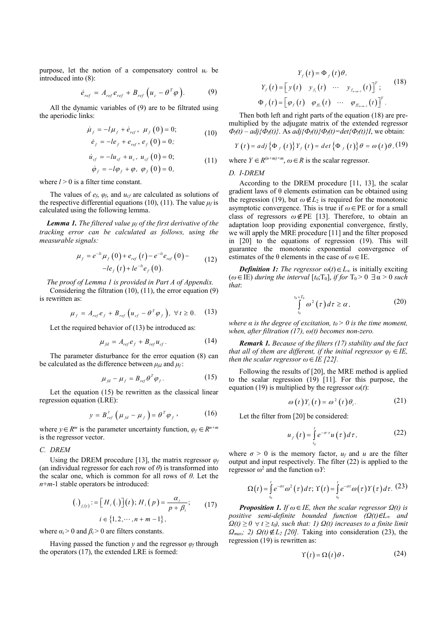purpose, let the notion of a compensatory control  $u_c$  be introduced into (8):

$$
\dot{e}_{ref} = A_{ref} e_{ref} + B_{ref} \left( u_c - \theta^T \varphi \right). \tag{9}
$$

All the dynamic variables of (9) are to be filtrated using the aperiodic links:

$$
\dot{\mu}_f = -l\mu_f + \dot{e}_{ref}, \ \mu_f(0) = 0; \n\dot{e}_f = -le_f + e_{ref}, e_f(0) = 0; \tag{10}
$$

$$
\dot{u}_{cf} = -lu_{cf} + u_c, \ u_{cf}(0) = 0; \n\dot{\phi}_f = -l\phi_f + \phi, \ \phi_f(0) = 0, \tag{11}
$$

where  $l > 0$  is a filter time constant.

The values of  $e_f$ ,  $\varphi_f$ , and  $u_{cf}$  are calculated as solutions of the respective differential equations (10), (11). The value  $\mu_f$  is calculated using the following lemma.

**Lemma 1.** The filtered value  $\mu_f$  of the first derivative of the tracking error can be calculated as follows, using the measurable signals:

$$
\mu_f = e^{-lt} \mu_f(0) + e_{ref}(t) - e^{-lt} e_{ref}(0) -
$$
  
-
$$
-le_f(t) + te^{-lt} e_f(0).
$$
 (12)

The proof of Lemma 1 is provided in Part A of Appendix.

Considering the filtration (10), (11), the error equation (9) is rewritten as:

$$
\mu_f = A_{ref} e_f + B_{ref} \left( u_{cf} - \theta^T \varphi_f \right), \ \forall t \ge 0. \tag{13}
$$

Let the required behavior of (13) be introduced as:

$$
\mu_{fd} = A_{ref} e_f + B_{ref} u_{cf}.
$$
 (14)

The parameter disturbance for the error equation (8) can be calculated as the difference between  $\mu_{fd}$  and  $\mu_f$ :

$$
\mu_{\scriptscriptstyle{fd}} - \mu_{\scriptscriptstyle{f}} = B_{\scriptscriptstyle{ref}} \theta^{\scriptscriptstyle{T}} \varphi_{\scriptscriptstyle{f}}.
$$
 (15)

Let the equation (15) be rewritten as the classical linear regression equation (LRE):

$$
y = B_{ref}^{\dagger} \left( \mu_{fd} - \mu_f \right) = \theta^T \varphi_f , \qquad (16)
$$

where  $y \in R^m$  is the parameter uncertainty function,  $\varphi_f \in R^{n+m}$ is the regressor vector.

#### C. DREM

Using the DREM procedure [13], the matrix regressor  $\varphi_f$ (an individual regressor for each row of  $\theta$ ) is transformed into the scalar one, which is common for all rows of  $\theta$ . Let the  $n+m-1$  stable operators be introduced:

$$
(.)_{f_i(t)} := [H_i(.)](t); H_i(p) = \frac{\alpha_i}{p + \beta_i}; \qquad (17)
$$
  

$$
i \in \{1, 2, \cdots, n + m - 1\},
$$

where  $\alpha_i > 0$  and  $\beta_i > 0$  are filters constants.

Having passed the function y and the regressor  $\varphi_f$  through the operators (17), the extended LRE is formed:

ensatory control 
$$
u_c
$$
 be  
\n
$$
Y_f(t) = \Phi_f(t) \theta,
$$
\n
$$
u_c - \theta^T \phi).
$$
\n(9) 
$$
\Phi_f(t) = \begin{bmatrix} y(t) & y_{f_1}(t) & \cdots & y_{f_{n+m-1}}(t) \end{bmatrix}^T;
$$
\n(18)  
\nare to be filtered using  
\nThen both left and right parts of the equation (18) are pre-  
\nmultipplied by the adjusted matrix of the extended regressor  
\n
$$
(0) = 0;
$$
\n(10) 
$$
\Phi_f(t) - adj_f(\Phi_f(t))
$$
As  $adj_f(\Phi_f(t))\Phi_f(t) = det_f(\Phi_f(t))$ , we obtain:  
\n(0) = 0;  
\n
$$
Y_f(t) = adj_f(\Phi_f(t))
$$
As  $adj_f(\Phi_f(t))\Phi_f(t) = det_f(\Phi_f(t))$ , we obtain:  
\n(0) = 0;  
\n(11) where  $Y \in R^{(n+m)\times m}$ ,  $\omega \in R$  is the scalar regressor.  
\n(0) = 0,  
\nD. *I-DREM*  
\nAccording to the DREM procedure [11, 13], the scalar

 $(0) = 0;$   $\Phi_f(t) - adj{\{\Phi_f(t)\}}$ . As  $adj{\{\Phi_f(t)\}}\Phi_f(t) = det{\{\Phi_f(t)\}}I$ , we obtain: Then both left and right parts of the equation (18) are premultiplied by the adjugate matrix of the extended regressor

$$
Y(t) = adj \{\Phi_f(t)\} Y_f(t) = det \{\Phi_f(t)\} \theta = \omega(t) \theta, (19)
$$

where  $Y \in R^{(n+m)\times m}$ ,  $\omega \in R$  is the scalar regressor.

# D. I-DREM

ensatory control  $u_c$  be<br>  $Y_f(t) = \left[ y(t) \quad y_{f_i}(t) \quad \cdots \quad y_{f_{\text{new}-1}}(t) \right]^T$ ; (18<br>
are to be filtrated using<br>  $\Phi_f(t) = \left[ \phi_f(t) \quad \phi_{f_i}(t) \quad \cdots \quad \phi_{f_{\text{new}-1}}(t) \right]^T$ .<br>
Then both left and right parts of the equation (18) are pre  $e_{ref}(t) - e^{-t}e_{ref}(0)$  =  $e_{ref}(0)$  estimates of the  $\theta$  elements in the case of  $\omega \in$  IE. or a compensatory control  $u_c$  be<br>  $V_f(t) = \Phi_f(t) \theta$ ,  $v_{xx} + B_{ref} (u_c - \theta^T \varphi)$ .<br>
(18 and  $\Phi_f(t) = \left[ y(t) \right] y_n(t) \cdots y_{x_{n-x}}(t) \right]^T$ ;<br>
(18 and  $\Phi_f(t) = \left[ \varphi_f(t) \theta_{x_i}(t) \cdots \theta_{x_{n-x}}(t) \right]^T$ .<br>
(18 and  $\varphi_f(t) = 0$ ;<br>  $\tau + \theta_{ref}$ ,  $\theta_f(0)$ According to the DREM procedure [11, 13], the scalar gradient laws of θ elements estimation can be obtained using the regression (19), but  $\omega \notin L_2$  is required for the monotonic asymptotic convergence. This is true if  $\omega \in PE$  or for a small class of regressors  $\omega \notin \text{PE}$  [13]. Therefore, to obtain an adaptation loop providing exponential convergence, firstly, we will apply the MRE procedure [11] and the filter proposed in [20] to the equations of regression (19). This will guarantee the monotonic exponential convergence of units of the equation (18) are pre-<br>
units of the equation (18) are pre-<br>
arts of the extended regressor<br>  $\partial f/\phi_f(t) = det_f \Phi_f(t) f J$ , we obtain:<br>  $= det \{\Phi_f(t)\} \theta = \omega(t) \theta$ , (19)<br>
ne scalar regressor.<br>
procedure [11, 13], the scalar<br> comparison (19). This will<br>tonic exponential convergence of<br>ents in the case of  $\omega \in \mathbb{E}$ .<br>regressor  $\omega(t) \in L_{\infty}$  is initially exciting<br> $rrvall [ts, T_0], if for T_0 > 0 \exists \alpha > 0 \text{ such}$ <br> $\int_0^{t_T} \omega^2(\tau) d\tau \ge \alpha$ , (20)<br> $\int_0^{t_T} \omega^2(\tau)$ 

**Definition 1:** The regressor  $\omega(t) \in L_{\infty}$  is initially exciting  $(\omega \in \text{IE})$  during the interval  $[t_0;T_0]$ , if for  $T_0 > 0 \exists \alpha > 0$  such that:

$$
\int_{t_0}^{t_0+T_0} \omega^2(\tau) d\tau \ge \alpha, \qquad (20)
$$

where  $\alpha$  is the degree of excitation,  $t_0 > 0$  is the time moment, when, after filtration (17),  $\omega(t)$  becomes non-zero.

Remark 1. Because of the filters (17) stability and the fact that all of them are different, if the initial regressor  $\varphi_f \in I\!E$ , then the scalar regressor  $\omega \in \mathbb{IE}$  [22].

Following the results of [20], the MRE method is applied to the scalar regression (19) [11]. For this purpose, the equation (19) is multiplied by the regressor  $\omega(t)$ :

$$
\omega(t)Y_i(t) = \omega^2(t)\theta_i.
$$
 (21)

Let the filter from [20] be considered:

$$
u_f(t) = \int\limits_{t_0}^t e^{-\sigma \cdot \tau} u(\tau) d\tau, \qquad (22)
$$

where  $\sigma > 0$  is the memory factor,  $u_f$  and u are the filter output and input respectively. The filter (22) is applied to the regressor  $\omega^2$  and the function  $\omega Y$ :

$$
\Omega(t) = \int_{t_0}^t e^{-\sigma \tau} \omega^2(\tau) d\tau; \Upsilon(t) = \int_{t_0}^t e^{-\sigma \tau} \omega(\tau) Y(\tau) d\tau. (23)
$$

 $u_f = A_{\text{ref}} e_f + B_{\text{ref}} (u_{cf} - \theta^T \varphi_f)$ ,  $\forall t \ge 0$ . (13)<br>
required behavior of (13) be introduced as:<br>  $\mu_{st} = A_{\text{ref}} e_f + B_{\text{ref}} u_{cf}$ . (14)<br>  $\mu_{st} = A_{\text{ref}} e_f + B_{\text{ref}} u_{cf}$ . (14)<br>
where a is the degree of excitation (17),  $\omega(f$ avior of (13) be introduced as:<br>
when a lite degree of excitation,  $u > 0$  is the time moment<br>  $= A_{ref}e_f + B_{ref}u_{sf}$ .<br>  $= A_{ref}e_f + B_{ref}u_{sf}$ .<br>
(14) **Remark 1.** Because of the filters (17) stability and the fact<br>
thence for the e  $\int_{0}^{\tau_{0}+\tau_{0}} \omega^{2}(t) dt \geq \alpha$ , (20)<br>
is the degree of excitation,  $t_{0} > 0$  is the time moment,<br>
tier filtration (17),  $\omega(t)$  becomes non-zero.<br>
ark I. Because of the filters (17) stability and the fact<br>
of them are dif **Proposition 1.** If  $\omega \in I$ E, then the scalar regressor  $\Omega(t)$  is positive semi-definite bounded function  $(\Omega(t) \in L_{\infty})$  and  $\Omega(t) \geq 0 \ \forall t \geq t_0$ , such that: 1)  $\Omega(t)$  increases to a finite limit  $\Omega_{\text{max}}$ ; 2)  $\Omega(t) \notin L_2$  [20]. Taking into consideration (23), the regression (19) is rewritten as:

$$
\Upsilon(t) = \Omega(t)\theta, \qquad (24)
$$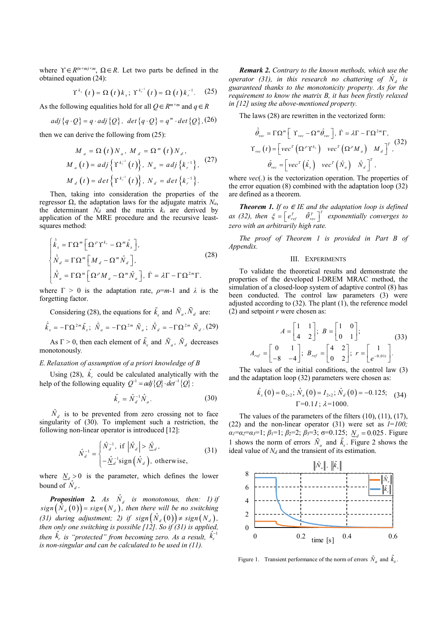where  $\Upsilon \in R^{(n+m)\times m}$ ,  $\Omega \in R$ . Let two parts be defined in the obtained equation (24):

$$
\Upsilon^{k_x}\left(t\right) = \Omega\left(t\right)k_x;\ \Upsilon^{k_r^{-1}}\left(t\right) = \Omega\left(t\right)k_r^{-1}.\tag{25}
$$

As the following equalities hold for all  $Q \in \mathbb{R}^{m \times m}$  and  $q \in \mathbb{R}$ 

$$
adj\{q \cdot Q\} = q \cdot adj\{Q\}, \ \ det\{q \cdot Q\} = q^m \cdot det\{Q\}, (26)
$$

then we can derive the following from (25):

$$
M_a = \Omega(t) N_a, M_d = \Omega^m(t) N_d,
$$
  
\n
$$
M_a(t) = adj \{ \Upsilon^{k_r^{-1}}(t) \}, N_a = adj \{ k_r^{-1} \},
$$
\n
$$
M_d(t) = det \{ \Upsilon^{k_r^{-1}}(t) \}, N_d = det \{ k_r^{-1} \}.
$$
\nwhere  $v$  the error

Then, taking into consideration the properties of the regressor Ω, the adaptation laws for the adjugate matrix  $N_a$ , the determinant  $N_d$  and the matrix  $k_x$  are derived by application of the MRE procedure and the recursive leastsquares method:

$$
\begin{cases}\n\dot{\hat{k}}_{x} = \Gamma \Omega^{m} \left[ \Omega^{\rho} \Upsilon^{k_{x}} - \Omega^{m} \hat{k}_{x} \right], \\
\dot{\hat{N}}_{d} = \Gamma \Omega^{m} \left[ M_{d} - \Omega^{m} \hat{N}_{d} \right], \\
\dot{\hat{N}}_{a} = \Gamma \Omega^{m} \left[ \Omega^{\rho} M_{a} - \Omega^{m} \hat{N}_{a} \right], \quad \dot{\Gamma} = \lambda \Gamma - \Gamma \Omega^{2m} \Gamma.\n\end{cases}
$$
\n(28)

where  $\Gamma > 0$  is the adaptation rate,  $\rho = m-1$  and  $\lambda$  is the forgetting factor.

Considering (28), the equations for 
$$
\tilde{k}_x
$$
 and  $\tilde{N}_a$ ,  $\tilde{N}_d$  are:  
\n
$$
\dot{\tilde{k}}_x = -\Gamma \Omega^{2m} \tilde{k}_x; \ \dot{\tilde{N}}_a = -\Gamma \Omega^{2m} \tilde{N}_a; \ \dot{\tilde{N}}_d = -\Gamma \Omega^{2m} \tilde{N}_d.
$$
 (29)

As  $\Gamma > 0$ , then each element of  $\tilde{k}_x$  and  $\tilde{N}_a$ ,  $\tilde{N}_d$  decreases monotonously.

## E. Relaxation of assumption of a priori knowledge of B

Using (28),  $\hat{k}_r$  could be calculated analytically with the help of the following equality  $Q^{-1} = adj \{Q\} \cdot det^{-1} \{Q\}$ : and the adaptation loop (5)

$$
\hat{k}_r = \hat{N}_d^{-1} \hat{N}_a. \tag{30}
$$

 $\hat{N}_d$  is to be prevented from zero crossing not to face singularity of (30). To implement such a restriction, the following non-linear operator is introduced [12]:

$$
\hat{N}_d^{-1} = \begin{cases}\n\hat{N}_d^{-1}, & \text{if } \left| \hat{N}_d \right| > \hat{\underline{M}}_d, \\
-\hat{\underline{M}}_d^{-1} \text{sign}\left( \hat{N}_d \right), & \text{otherwise,} \n\end{cases}
$$
\n(31)

where  $N_d > 0$  is the parameter, which defines the lower bound of  $\hat{N}_d$ .

**Proposition 2.** As  $\hat{N}_d$  is monotonous, then: 1) if  $sign\left(\hat{N}_d\left(0\right)\right) = sign\left(N_d\right)$ , then there will be no switching (31) during adjustment; 2) if  $sign(\hat{N}_d(0)) \neq sign(N_d)$ , <sup>2</sup> then only one switching is possible  $[12]$ . So if (31) is applied, then  $\hat{k}_r$  is "protected" from becoming zero. As a result,  $\hat{k}_r^{-1}$ is non-singular and can be calculated to be used in  $(11)$ .

<sup>m/s/m</sup>,  $\Omega \in \mathbb{R}$ . Let two parts be defined in the **Remark 2.** Contrary to the known methods, which use the<br>
operator (31), in this research no chattering of  $\hat{N}_d$  is<br>
(t) =  $\Omega$  (t)  $k_x$ ;  $\Upsilon^{k^{-1}}$  (t) =  $\Omega$  (t) <sup>x\*\*\*\*</sup>,"<br>
(1) =  $\Omega$  (1) k<sub>3</sub>;  $Y^{k,+}$  (1) =  $\Omega$  (1) k<sub>7</sub><sup>-1</sup>. (25) equatineed thanks to the known methods, which use the<br>
tion (24):<br>
<sup>k<sub>2</sub></sup> (t) =  $\Omega$  (t) k<sub>5</sub>;  $Y^{k,+}$  (t) =  $\Omega$  (t) k<sub>7</sub><sup>-1</sup>. (25) equatineed thanks  $\lim_{\alpha} \Omega \in \mathbb{R}$ . Let two parts be defined in the **Remark 2.** Contrary to the known methods, which use the<br>tion (24):<br>  $\langle \mathbf{f} | = \Omega(t) k_i; Y^{k_i}(t) = \Omega(t) k_i^{-1}$ . (25) guaranteed thanks to the monotonicity property. As for th Remark 2. Contrary to the known methods, which use the operator (31), in this research no chattering of  $\hat{N}_d$  is guaranteed thanks to the monotonicity property. As for the requirement to know the matrix B, it has been firstly relaxed in [12] using the above-mentioned property.

The laws (28) are rewritten in the vectorized form:

**nark 2.** Contrary to the known methods, which use the  
\n
$$
(31)
$$
, in this research no chattering of  $\hat{N}_d$  is  
\nteed thanks to the monotonicity property. As for the  
\nment to know the matrix B, it has been firstly relaxed  
\nusing the above-mentioned property.  
\nlaws (28) are rewritten in the vectorized form:  
\n
$$
\dot{\hat{\theta}}_{vec} = \Gamma \Omega^m \left[ \Upsilon_{vec} - \Omega^m \hat{\theta}_{vec} \right], \quad \Gamma = \lambda \Gamma - \Gamma \Omega^{2m} \Gamma,
$$
\n
$$
\Upsilon_{vec} (t) = \left[ \nu e c^T \left( \Omega^{\rho} \Upsilon^{k_x} \right) \nu e c^T \left( \Omega^{\rho} M_a \right) M_d \right]^T,
$$
\n
$$
\hat{\theta}_{vec} = \left[ \nu e c^T \left( \hat{k}_x \right) \nu e c^T \left( \hat{N}_a \right) \hat{N}_d \right]^T,
$$
\n
$$
\psi_{vec}(t)
$$
 is the vectorization operation. The properties of  
\nor equation (8) combined with the adaptation loop (32)  
\nneed as a theorem.  
\n**orem 1.** If  $\omega \in \Pi$  and the adaptation loop is defined

where *vec*(.) is the vectorization operation. The properties of the error equation (8) combined with the adaptation loop (32) are defined as a theorem.

**Theorem 1.** If  $\omega \in \text{IE}$  and the adaptation loop is defined as (32), then  $\xi = \begin{bmatrix} e_{ref}^T & \tilde{\theta}_{vec}^T \end{bmatrix}^T$  exponentially converges to zero with an arbitrarily high rate.

The proof of Theorem 1 is provided in Part B of Appendix.

# III. EXPERIMENTS

To validate the theoretical results and demonstrate the properties of the developed I-DREM MRAC method, the simulation of a closed-loop system of adaptive control (8) has been conducted. The control law parameters (3) were adjusted according to (32). The plant  $(1)$ , the reference model (2) and setpoint  $r$  were chosen as:

$$
A = \begin{bmatrix} 1 & 1 \\ 4 & 2 \end{bmatrix}; B = \begin{bmatrix} 1 & 0 \\ 0 & 1 \end{bmatrix};
$$
  
\n
$$
A_{ref} = \begin{bmatrix} 0 & 1 \\ -8 & -4 \end{bmatrix}; B_{ref} = \begin{bmatrix} 4 & 2 \\ 0 & 2 \end{bmatrix}; r = \begin{bmatrix} 1 \\ e^{-0.01t} \end{bmatrix}.
$$
 (33)

The values of the initial conditions, the control law (3) and the adaptation loop (32) parameters were chosen as:

$$
\hat{k}_{x}(0) = 0_{2 \times 2}; \hat{N}_{a}(0) = I_{2 \times 2}; \hat{N}_{a}(0) = -0.125; \quad (34)
$$
  
 
$$
\Gamma = 0.1I; \lambda = 1000.
$$

The values of the parameters of the filters (10), (11), (17), (22) and the non-linear operator (31) were set as  $l=100$ ;  $\alpha_1 = \alpha_2 = \alpha_3 = 1$ ;  $\beta_1 = 1$ ;  $\beta_2 = 2$ ;  $\beta_3 = 3$ ;  $\sigma = 0.125$ ;  $N_a = 0.025$ . Figure 1 shows the norm of errors  $\tilde{N}_a$  and  $\tilde{k}_x$ . Figure 2 shows the ideal value of  $N_d$  and the transient of its estimation.



Figure 1. Transient performance of the norm of errors  $\tilde{N}_a$  and  $\tilde{k}_x$ .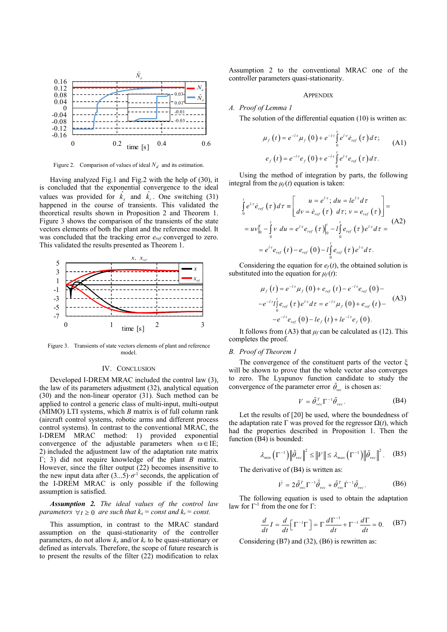

Figure 2. Comparison of values of ideal  $N_d$  and its estimation.

Having analyzed Fig.1 and Fig.2 with the help of (30), it is concluded that the exponential convergence to the ideal values was provided for  $\hat{k}_x$  and  $\hat{k}_r$ . One switching (31) happened in the course of transients. This validated the theoretical results shown in Proposition 2 and Theorem 1. Figure 3 shows the comparison of the transients of the state vectors elements of both the plant and the reference model. It was concluded that the tracking error  $e_{ref}$  converged to zero. This validated the results presented as Theorem 1.



Figure 3. Transients of state vectors elements of plant and reference model.

# IV. CONCLUSION

Developed I-DREM MRAC included the control law (3), the law of its parameters adjustment (32), analytical equation (30) and the non-linear operator (31). Such method can be applied to control a generic class of multi-input, multi-output (MIMO) LTI systems, which  $B$  matrix is of full column rank (aircraft control systems, robotic arms and different process control systems). In contrast to the conventional MRAC, the I-DREM MRAC method: 1) provided exponential convergence of the adjustable parameters when  $\omega \in \text{IE};$ 2) included the adjustment law of the adaptation rate matrix Γ; 3) did not require knowledge of the plant B matrix. However, since the filter output  $(22)$  becomes insensitive to the new input data after  $(3...5)$   $\sigma$ <sup>1</sup> seconds, the application of the I-DREM MRAC is only possible if the following assumption is satisfied.

Assumption 2. The ideal values of the control law parameters  $\forall t \geq 0$  are such that  $k_x = const$  and  $k_r = const$ .

This assumption, in contrast to the MRAC standard assumption on the quasi-stationarity of the controller parameters, do not allow  $k_x$  and/or  $k_y$  to be quasi-stationary or defined as intervals. Therefore, the scope of future research is to present the results of the filter (22) modification to relax

 $\hat{N}_d$  controller parameters quasi-stationarity. Assumption 2 to the conventional MRAC one of the

# **APPENDIX**

 $\begin{array}{c} 1 - 1 - 1 = 0.03 - 1 - 1.5 = 0.03 - 1.5 = 0.03 - 1.5 = 0.03 - 1.5 = 0.03 - 1.5 = 0.03 - 1.5 = 0.03 - 1.5 = 0.03 = 0.03 = 0.03 = 0.03 = 0.03 = 0.03 = 0.03 = 0.03 = 0.03 = 0.03 = 0.03 = 0.03 = 0.03 = 0.03 = 0.03 = 0.03 = 0.03 = 0.03 = 0.03 = 0.03 = 0.0$ 

n 2 to the conventional MRAC one of the  
\nparameters quasi-stationarity.  
\nAPPENDIX  
\n
$$
fLemma I
$$
\n
$$
u(t) = e^{-t \tau} \mu_f(0) + e^{-t \tau} \int_0^t e^{t \tau} \dot{e}_{ref}(\tau) d\tau;
$$
\n
$$
e_f(t) = e^{-t \tau} e_f(0) + e^{-t \tau} \int_0^t e^{t \tau} e_{ref}(\tau) d\tau.
$$
\n
$$
e_f(t) = e^{-t \tau} e_f(0) + e^{-t \tau} \int_0^t e^{t \tau} e_{ref}(\tau) d\tau.
$$
\nthe method of integration by parts, the following  
\n
$$
u = e^{t \tau}; du = le^{t \tau} d\tau
$$

Using the method of integration by parts, the following integral from the  $\mu_f(t)$  equation is taken:

A. Ssumption 2 to the conventional MRAC one of the controller parameters quasi-stationarity.  
\n1. 
$$
-\frac{1}{2}
$$
  
\n2.  $-\frac{1}{2}$   
\n3.  $\frac{1}{2}$   
\n4. Proof of Lemma 1  
\n4. Proof of Lemma 2  
\nThe solution of the differential equation (10) is written as:  
\n $\mu_f(t) = e^{-t\tau} \mu_f(0) + e^{-t\tau} \int_0^t e^{t\tau} e_{\tau g}(\tau) d\tau$  (A1)  
\nof ideal  $N_d$  and is estimation.  
\n4.  $\mu_f(t) = e^{-t\tau} \mu_f(0) + e^{-t\tau} \int_0^t e^{t\tau} e_{\tau g}(\tau) d\tau$  (A1)  
\n5.  $\mu_f(t) = e^{-t\tau} \mu_f(0) + e^{-t\tau} \int_0^t e^{t\tau} e_{\tau g}(\tau) d\tau$ .  
\n5.  $\mu_f(t) = e^{-t\tau} \mu_f(0) + e^{-t\tau} \int_0^t e^{t\tau} e_{\tau g}(\tau) d\tau$  (A1)  
\n5.  $\mu_f(t) = e^{-t\tau} \mu_f(0) + e^{-t\tau} \int_0^t e^{t\tau} e_{\tau g}(\tau) d\tau$  (B1)  
\nand  $\frac{k}{k}$ . One switching (31)  
\n1.  $\mu_f(t) = e^{t\tau} \mu_f(t) = e^{t\tau} \int_0^t e^{t\tau} e_{\tau g}(\tau) d\tau$  (1)  $\mu = e^{t\tau} \int_0^t e_{\tau g}(\tau) e^{t\tau} d\tau =$   
\n1.  $\sigma$  of the transients of the state  
\nand the reference model. It  
\n1.  $\mu_f(t) = e^{-t\tau} \mu_f(0) - t \int_0^t e_{\tau g}(\tau) e^{t\tau} d\tau$  (1)  
\n1.  $\sigma$  is the equation for  $e_f(t)$ , the obtained solution is  
\n1.  $\sigma$  (1)  $\sigma$  (2)  $\sigma$  (3)  $\mu_f(t) = e^{-t\tau} \mu_f(0) + e_{\tau g}(\tau) e^{t\tau} d\tau$  (42)  
\n2.  $\sigma$  (34) 

Considering the equation for  $e_f(t)$ , the obtained solution is substituted into the equation for  $\mu_f(t)$ :

$$
\mu_f(t) = e^{-t} \mu_f(0) + e_{ref}(t) - e^{-t} e_{ref}(0) -
$$
  

$$
-e^{-t} t \int_0^t e_{ref}(\tau) e^{t \tau} d\tau = e^{-t} \mu_f(0) + e_{ref}(t) -
$$
  

$$
-e^{-t} e_{ref}(0) - t e_f(t) + t e^{-t} e_f(0).
$$
 (A3)

It follows from (A3) that  $\mu_f$  can be calculated as (12). This completes the proof.

# B. Proof of Theorem 1

The convergence of the constituent parts of the vector ξ will be shown to prove that the whole vector also converges to zero. The Lyapunov function candidate to study the convergence of the parameter error  $\tilde{\theta}_{\text{vec}}$  is chosen as:

$$
V = \tilde{\theta}_{\text{vec}}^T \Gamma^{-1} \tilde{\theta}_{\text{vec}}.
$$
 (B4)

Let the results of [20] be used, where the boundedness of the adaptation rate Γ was proved for the regressor  $\Omega(t)$ , which had the properties described in Proposition 1. Then the function (B4) is bounded:

$$
\lambda_{min}\left(\Gamma^{-1}\right) \left\|\tilde{\theta}_{vec}\right\|^2 \leq \left\|V\right\| \leq \lambda_{max}\left(\Gamma^{-1}\right) \left\|\tilde{\theta}_{vec}\right\|^2. \quad (B5)
$$

The derivative of (B4) is written as:

$$
\dot{V} = 2\tilde{\theta}_{\text{vec}}^T \Gamma^{-1} \dot{\tilde{\theta}}_{\text{vec}} + \tilde{\theta}_{\text{vec}}^T \dot{\Gamma}^{-1} \tilde{\theta}_{\text{vec}}.
$$
 (B6)

The following equation is used to obtain the adaptation law for Γ-1 from the one for Γ:

$$
\frac{d}{dt}I = \frac{d}{dt}\Big[\Gamma^{-1}\Gamma\Big] = \Gamma\frac{d\Gamma^{-1}}{dt} + \Gamma^{-1}\frac{d\Gamma}{dt} = 0.
$$
 (B7)

Considering (B7) and (32), (B6) is rewritten as: